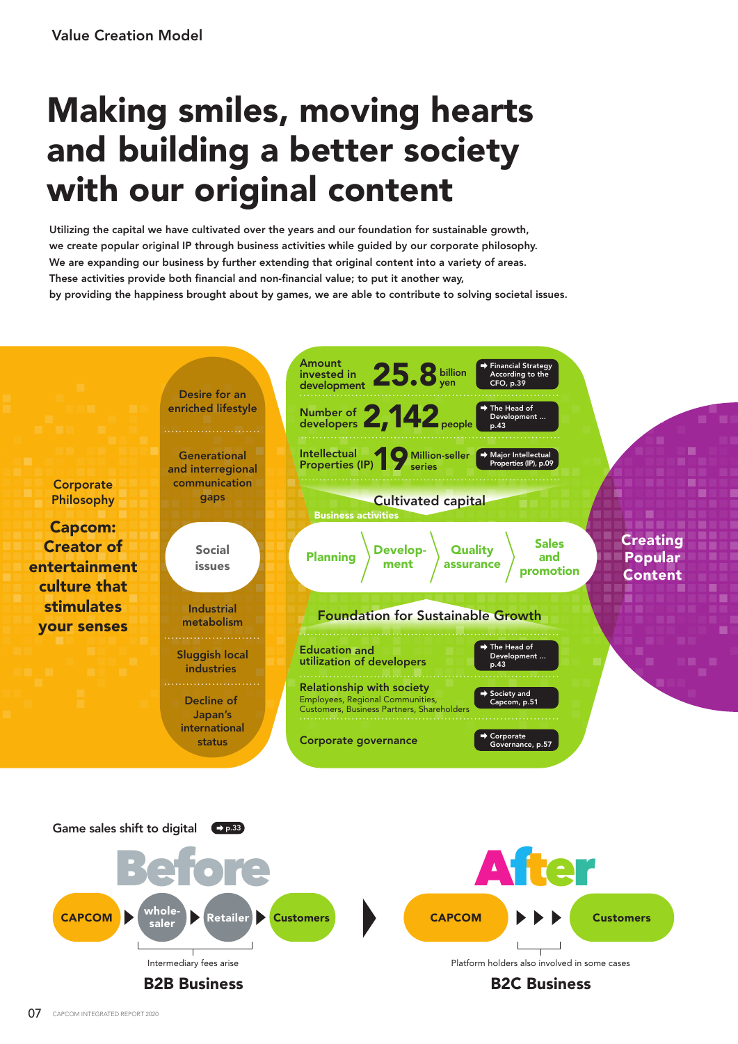## Making smiles, moving hearts and building a better society with our original content

Utilizing the capital we have cultivated over the years and our foundation for sustainable growth, we create popular original IP through business activities while guided by our corporate philosophy. We are expanding our business by further extending that original content into a variety of areas. These activities provide both financial and non-financial value; to put it another way, by providing the happiness brought about by games, we are able to contribute to solving societal issues.